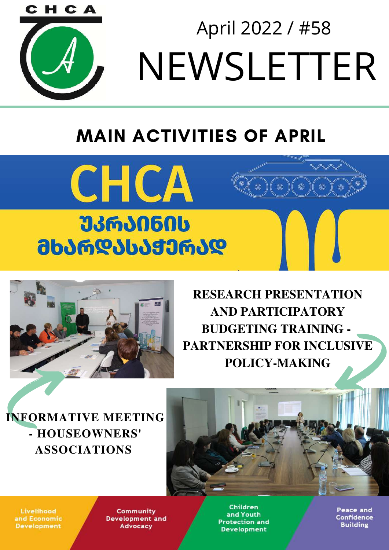

NEWSLETTER April 2022 / #58

# MAIN ACTIVITIES OF APRIL





**RESEARCH PRESENTATION AND PARTICIPATORY BUDGETING TRAINING - PARTNERSHIP FOR INCLUSIVE POLICY-MAKING**

**INFORMATIVE MEETING - HOUSEOWNERS' ASSOCIATIONS**

Livelihood and Economic **Development** 

Community **Development and Advocacy** 

Children and Youth **Protection and Development**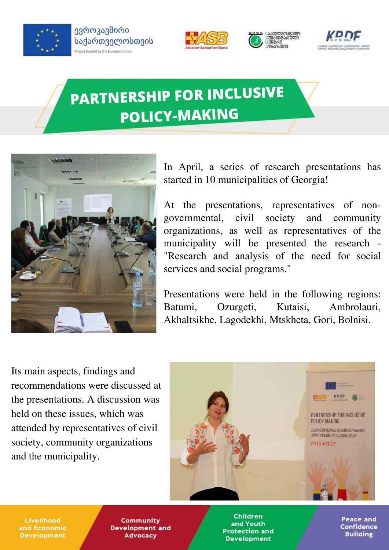

ევროკავშირი საქართველოსთვის Project funded by the European Union







## **PARTNERSHIP FOR INCLUSIVE POLICY-MAKING**



In April, a series of research presentations has started in 10 municipalities of Georgia!

At the presentations, representatives of nongovernmental, civil society and community organizations, as well as representatives of the municipality will be presented the research - "Research and analysis of the need for social services and social programs."

Presentations were held in the following regions: Batumi, Ozurgeti, Kutaisi, Ambrolauri, Akhaltsikhe, Lagodekhi, Mtskheta, Gori, Bolnisi.

Its main aspects, findings and recommendations were discussed at the presentations. A discussion was held on these issues, which was attended by representatives of civil society, community organizations and the municipality.



Livelihood and Economic **Development** 

Community **Development and Advocacy** 

**Children** and Youth **Protection and Development**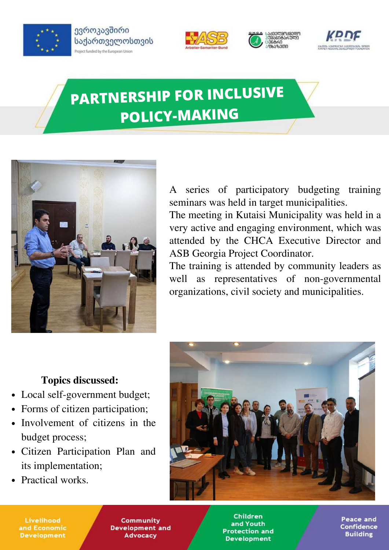

ევროკავშირი საქართველოსთვის Project funded by the European Union







## **PARTNERSHIP FOR INCLUSIVE POLICY-MAKING**



A series of participatory budgeting training seminars was held in target municipalities.

The meeting in Kutaisi Municipality was held in a very active and engaging environment, which was attended by the CHCA Executive Director and ASB Georgia Project Coordinator.

The training is attended by community leaders as well as representatives of non-governmental organizations, civil society and municipalities.

#### **Topics discussed:**

- Local self-government budget;
- Forms of citizen participation;
- Involvement of citizens in the budget process;
- Citizen Participation Plan and its implementation;
- Practical works.



Livelihood and Economic **Development** 

Community **Development and Advocacy** 

**Children** and Youth **Protection and Development**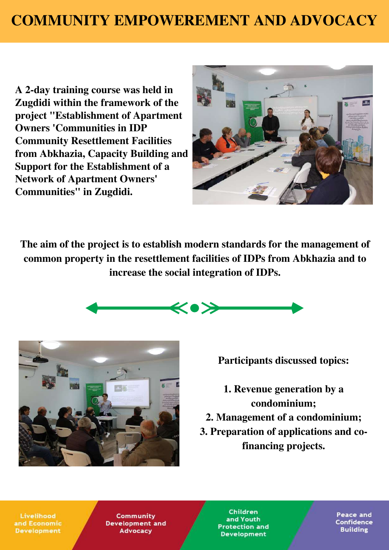## **COMMUNITY EMPOWEREMENT AND ADVOCACY**

**A 2-day training course was held in Zugdidi within the framework of the project "Establishment of Apartment Owners 'Communities in IDP Community Resettlement Facilities from Abkhazia, Capacity Building and Support for the Establishment of a Network of Apartment Owners' Communities" in Zugdidi.**



**The aim of the project is to establish modern standards for the management of common property in the resettlement facilities of IDPs from Abkhazia and to increase the social integration of IDPs.**





**Participants discussed topics:**

**1. Revenue generation by a condominium; 2. Management of a condominium;**

**3. Preparation of applications and cofinancing projects.**

Livelihood and Economic **Development** 

Community **Development and Advocacy** 

**Children** and Youth **Protection and Development**